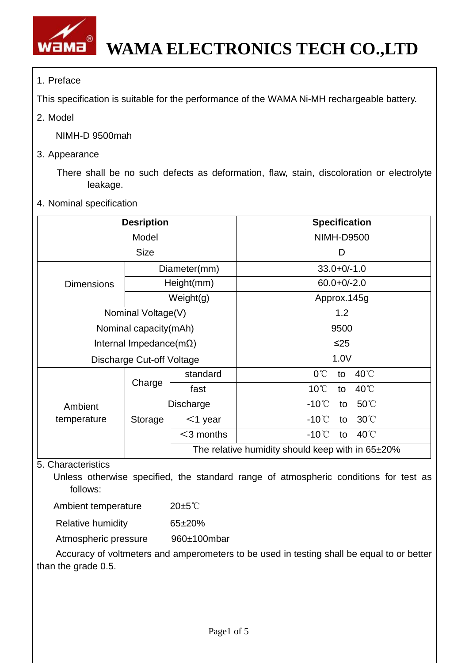

## 1. Preface

This specification is suitable for the performance of the WAMA Ni-MH rechargeable battery.

2. Model

NIMH-D 9500mah

3. Appearance

There shall be no such defects as deformation, flaw, stain, discoloration or electrolyte leakage.

4. Nominal specification

|                                 | <b>Desription</b> |                                                  | <b>Specification</b>                    |  |  |
|---------------------------------|-------------------|--------------------------------------------------|-----------------------------------------|--|--|
|                                 | Model             |                                                  | <b>NIMH-D9500</b>                       |  |  |
| <b>Size</b>                     |                   |                                                  | D                                       |  |  |
|                                 |                   | Diameter(mm)                                     | $33.0 + 0/-1.0$                         |  |  |
| <b>Dimensions</b>               |                   | Height(mm)                                       | $60.0 + 0/-2.0$                         |  |  |
|                                 |                   | Weight(g)                                        | Approx.145g                             |  |  |
| Nominal Voltage(V)              |                   |                                                  | 1.2                                     |  |  |
| Nominal capacity(mAh)           |                   |                                                  | 9500                                    |  |  |
| Internal Impedance( $m\Omega$ ) |                   |                                                  | $\leq$ 25                               |  |  |
| Discharge Cut-off Voltage       |                   |                                                  | 1.0V                                    |  |  |
|                                 |                   | standard                                         | $0^{\circ}$ C<br>40°C<br>to             |  |  |
|                                 | Charge            | fast                                             | $10^{\circ}$ C<br>40°C<br>to            |  |  |
| Ambient                         | Discharge         |                                                  | 50°C<br>$-10^{\circ}$ C<br>to           |  |  |
| temperature                     | Storage           | $<$ 1 year                                       | $30^{\circ}$<br>$-10^{\circ}$ C<br>to   |  |  |
|                                 |                   | $<$ 3 months                                     | $-10^{\circ}$ C<br>$40^{\circ}$ C<br>to |  |  |
|                                 |                   | The relative humidity should keep with in 65±20% |                                         |  |  |

## 5. Characteristics

Unless otherwise specified, the standard range of atmospheric conditions for test as follows:

| Ambient temperature | $20 \pm 5^{\circ}$ |
|---------------------|--------------------|
|                     |                    |

Relative humidity 65±20%

Atmospheric pressure 960±100mbar

Accuracy of voltmeters and amperometers to be used in testing shall be equal to or better than the grade 0.5.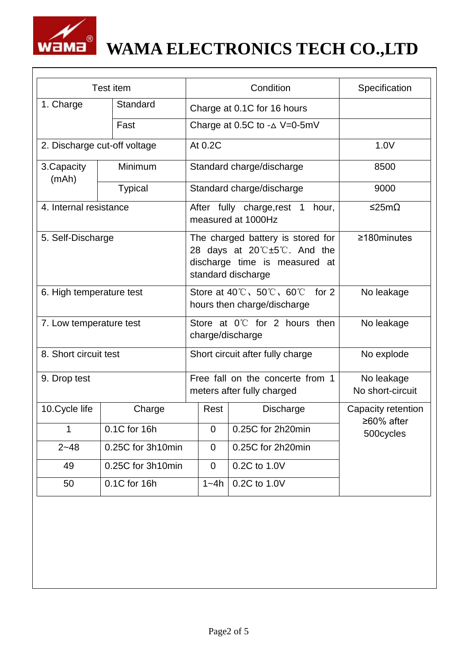

# **WAMA ELECTRONICS TECH CO.,LTD**

| Test item                     |                   | Condition                                                                                                                                     |                |                           | Specification                  |
|-------------------------------|-------------------|-----------------------------------------------------------------------------------------------------------------------------------------------|----------------|---------------------------|--------------------------------|
| 1. Charge<br>Standard<br>Fast |                   | Charge at 0.1C for 16 hours                                                                                                                   |                |                           |                                |
|                               |                   | Charge at 0.5C to $-\Delta$ V=0-5mV                                                                                                           |                |                           |                                |
| 2. Discharge cut-off voltage  |                   | At 0.2C                                                                                                                                       |                |                           | 1.0V                           |
| Minimum<br>3. Capacity        |                   | Standard charge/discharge                                                                                                                     |                |                           | 8500                           |
| (mAh)                         | <b>Typical</b>    |                                                                                                                                               |                | Standard charge/discharge | 9000                           |
| 4. Internal resistance        |                   | After fully charge, rest 1<br>hour,<br>measured at 1000Hz                                                                                     |                |                           | ≤25mΩ                          |
| 5. Self-Discharge             |                   | The charged battery is stored for<br>28 days at $20^{\circ}C \pm 5^{\circ}C$ . And the<br>discharge time is measured at<br>standard discharge |                |                           | $\geq$ 180minutes              |
| 6. High temperature test      |                   | Store at $40^{\circ}$ C, $50^{\circ}$ C, $60^{\circ}$ C<br>for $2$<br>hours then charge/discharge                                             |                |                           | No leakage                     |
| 7. Low temperature test       |                   | Store at $0^{\circ}$ for 2 hours then<br>charge/discharge                                                                                     |                |                           | No leakage                     |
| 8. Short circuit test         |                   | Short circuit after fully charge                                                                                                              |                |                           | No explode                     |
| 9. Drop test                  |                   | Free fall on the concerte from 1<br>meters after fully charged                                                                                |                |                           | No leakage<br>No short-circuit |
| 10. Cycle life                | Charge            |                                                                                                                                               | Rest           | <b>Discharge</b>          | Capacity retention             |
| 1                             | 0.1C for 16h      |                                                                                                                                               | 0              | 0.25C for 2h20min         | $≥60\%$ after<br>500cycles     |
| $2 - 48$                      | 0.25C for 3h10min |                                                                                                                                               | $\overline{0}$ | 0.25C for 2h20min         |                                |
| 49                            | 0.25C for 3h10min |                                                                                                                                               | $\mathbf 0$    | 0.2C to 1.0V              |                                |
| 50                            | 0.1C for 16h      |                                                                                                                                               | $1 - 4h$       | 0.2C to 1.0V              |                                |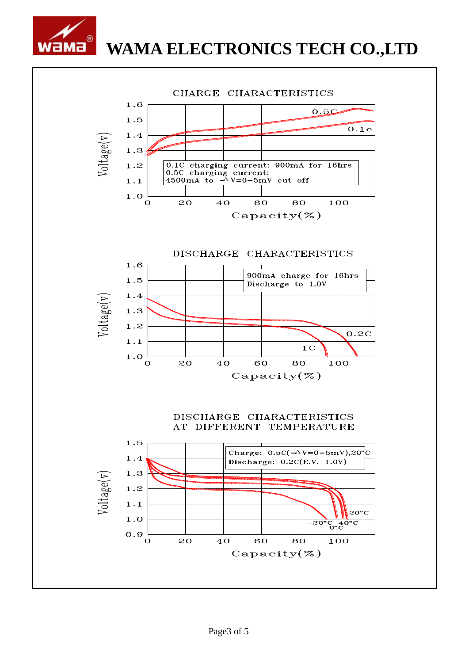

## WAMA ELECTRONICS TECH CO.,LTD

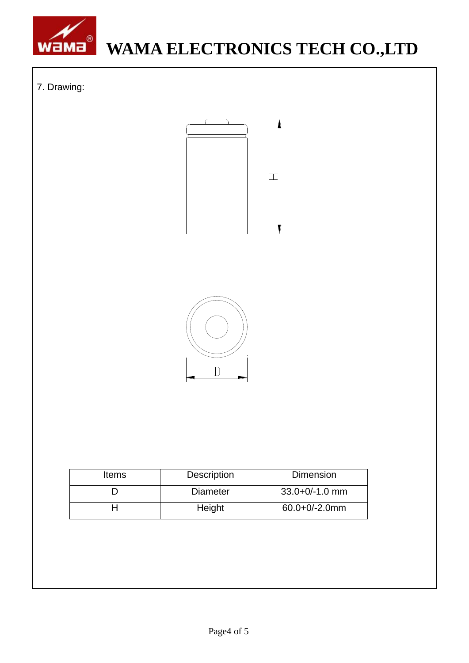

# **WAMA ELECTRONICS TECH CO.,LTD**

## 7. Drawing:





| <b>Items</b> | <b>Description</b> | <b>Dimension</b>   |  |  |
|--------------|--------------------|--------------------|--|--|
|              | <b>Diameter</b>    | $33.0 + 0/-1.0$ mm |  |  |
|              | Height             | $60.0 + 0/-2.0$ mm |  |  |